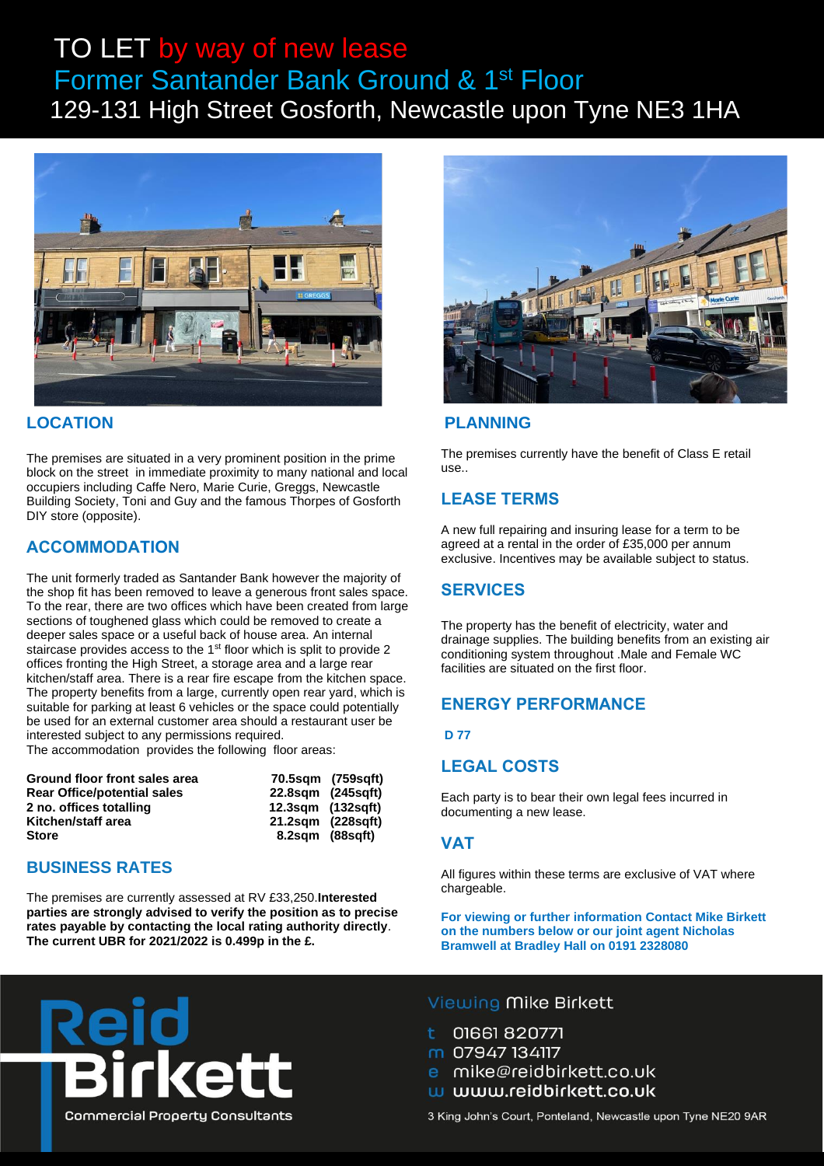## TO LET by way of new lease Former Santander Bank Ground & 1st Floor 129-131 High Street Gosforth, Newcastle upon Tyne NE3 1HA



### **LOCATION**

The premises are situated in a very prominent position in the prime block on the street in immediate proximity to many national and local occupiers including Caffe Nero, Marie Curie, Greggs, Newcastle Building Society, Toni and Guy and the famous Thorpes of Gosforth DIY store (opposite).

## **ACCOMMODATION**

The unit formerly traded as Santander Bank however the majority of the shop fit has been removed to leave a generous front sales space. To the rear, there are two offices which have been created from large sections of toughened glass which could be removed to create a deeper sales space or a useful back of house area. An internal staircase provides access to the 1<sup>st</sup> floor which is split to provide 2 offices fronting the High Street, a storage area and a large rear kitchen/staff area. There is a rear fire escape from the kitchen space. The property benefits from a large, currently open rear yard, which is suitable for parking at least 6 vehicles or the space could potentially be used for an external customer area should a restaurant user be interested subject to any permissions required.

The accommodation provides the following floor areas:

| Ground floor front sales area      |                   | 70.5sgm (759sgft) |
|------------------------------------|-------------------|-------------------|
| <b>Rear Office/potential sales</b> | 22.8sqm (245sqft) |                   |
| 2 no. offices totalling            | 12.3sgm (132sgft) |                   |
| Kitchen/staff area                 | 21.2sqm (228sqft) |                   |
| <b>Store</b>                       | 8.2sgm (88sgft)   |                   |

#### **BUSINESS RATES**

The premises are currently assessed at RV £33,250.**Interested parties are strongly advised to verify the position as to precise rates payable by contacting the local rating authority directly**. **The current UBR for 2021/2022 is 0.499p in the £.**



### **PLANNING**

The premises currently have the benefit of Class E retail use..

### **LEASE TERMS**

A new full repairing and insuring lease for a term to be agreed at a rental in the order of £35,000 per annum exclusive. Incentives may be available subject to status.

## **SERVICES**

The property has the benefit of electricity, water and drainage supplies. The building benefits from an existing air conditioning system throughout .Male and Female WC facilities are situated on the first floor.

## **ENERGY PERFORMANCE**

**D 77**

## **LEGAL COSTS**

Each party is to bear their own legal fees incurred in documenting a new lease.

#### **VAT**

All figures within these terms are exclusive of VAT where chargeable.

**For viewing or further information Contact Mike Birkett on the numbers below or our joint agent Nicholas Bramwell at Bradley Hall on 0191 2328080**



#### Viewing Mike Birkett

01661 820771

- m 07947 134117
- e mike@reidbirkett.co.uk
- w www.reidbirkett.co.uk

3 King John's Court, Ponteland, Newcastle upon Tyne NE20 9AR